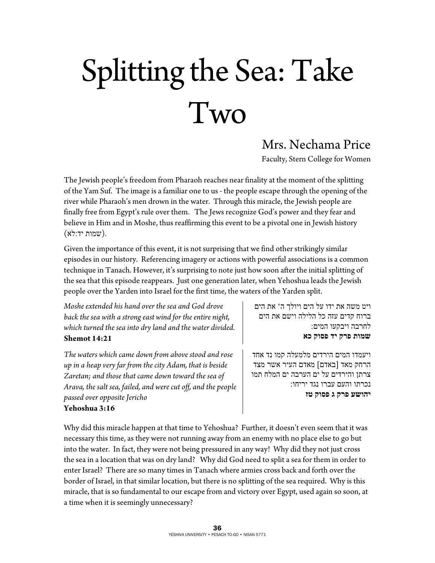## Splitting the Sea: Take Two

## Mrs. Nechama Price

Faculty, Stern College for Women

The Jewish people's freedom from Pharaoh reaches near finality at the moment of the splitting of the Yam Suf. The image is a familiar one to us - the people escape through the opening of the river while Pharaoh's men drown in the water. Through this miracle, the Jewish people are finally free from Egypt's rule over them. The Jews recognize God's power and they fear and believe in Him and in Moshe, thus reaffirming this event to be a pivotal one in Jewish history .(שמות יד:לא)

Given the importance of this event, it is not surprising that we find other strikingly similar episodes in our history. Referencing imagery or actions with powerful associations is a common technique in Tanach. However, it's surprising to note just how soon after the initial splitting of the sea that this episode reappears. Just one generation later, when Yehoshua leads the Jewish people over the Yarden into Israel for the first time, the waters of the Yarden split.

*Moshe extended his hand over the sea and God drove back the sea with a strong east wind for the entire night, which turned the sea into dry land and the water divided.*  **Shemot 14:21** 

*The waters which came down from above stood and rose up in a heap very far from the city Adam, that is beside Zaretan; and those that came down toward the sea of Arava, the salt sea, failed, and were cut off, and the people passed over opposite Jericho*  **Yehoshua 3:16**

ויט משה את ידו על הים ויולך ה ' את הים ברוח קדים עזה כל הלילה וישם את הים לחרבה ויבקעו המים: **שמות פרק יד פסוק כא**

ויעמדו המים הירדים מלמעלה קמו נד אחד הרחק מאד [באדם] מאדם העיר אשר מצד צרתן והירדים על ים הערבה ים המלח תמו נכרתו והעם עברו נגד יריחו: **יהושע פרק ג פסוק טז**

Why did this miracle happen at that time to Yehoshua? Further, it doesn't even seem that it was necessary this time, as they were not running away from an enemy with no place else to go but into the water. In fact, they were not being pressured in any way! Why did they not just cross the sea in a location that was on dry land? Why did God need to split a sea for them in order to enter Israel? There are so many times in Tanach where armies cross back and forth over the border of Israel, in that similar location, but there is no splitting of the sea required. Why is this miracle, that is so fundamental to our escape from and victory over Egypt, used again so soon, at a time when it is seemingly unnecessary?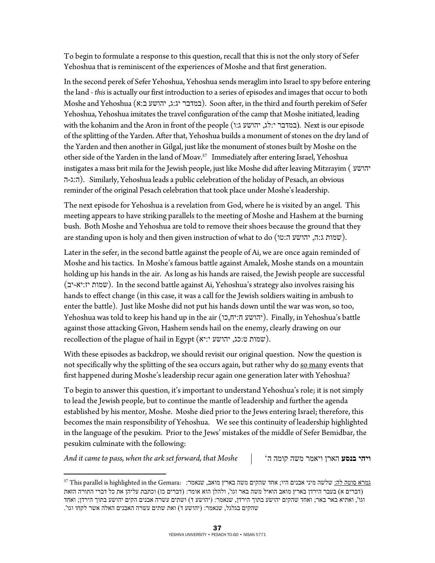To begin to formulate a response to this question, recall that this is not the only story of Sefer Yehoshua that is reminiscent of the experiences of Moshe and that first generation.

In the second perek of Sefer Yehoshua, Yehoshua sends meraglim into Israel to spy before entering the land - *this* is actually our first introduction to a series of episodes and images that occur to both Moshe and Yehoshua (ג:ג, יהושע ב:א). Soon after, in the third and fourth perekim of Sefer Yehoshua, Yehoshua imitates the travel configuration of the camp that Moshe initiated, leading with the kohanim and the Aron in front of the people (במדבר י:לג, יהושע ג:ו). Next is our episode of the splitting of the Yarden. After that, Yehoshua builds a monument of stones on the dry land of the Yarden and then another in Gilgal, just like the monument of stones built by Moshe on the other side of the Yarden in the land of Moav.<sup>57</sup> Immediately after entering Israel, Yehoshua instigates a mass brit mila for the Jewish people, just like Moshe did after leaving Mitzrayim ( יהושע ה:ג-ה). Similarly, Yehoshua leads a public celebration of the holiday of Pesach, an obvious reminder of the original Pesach celebration that took place under Moshe's leadership.

The next episode for Yehoshua is a revelation from God, where he is visited by an angel. This meeting appears to have striking parallels to the meeting of Moshe and Hashem at the burning bush. Both Moshe and Yehoshua are told to remove their shoes because the ground that they are standing upon is holy and then given instruction of what to do (שמות ג:ה, יהושע ה:

Later in the sefer, in the second battle against the people of Ai, we are once again reminded of Moshe and his tactics. In Moshe's famous battle against Amalek, Moshe stands on a mountain holding up his hands in the air. As long as his hands are raised, the Jewish people are successful (שמות יז:יא-יב). In the second battle against Ai, Yehoshua's strategy also involves raising his hands to effect change (in this case, it was a call for the Jewish soldiers waiting in ambush to enter the battle). Just like Moshe did not put his hands down until the war was won, so too, Yehoshua was told to keep his hand up in the air (כו,יח:ח יהושע(. Finally, in Yehoshua's battle against those attacking Givon, Hashem sends hail on the enemy, clearly drawing on our recollection of the plague of hail in Egypt (יהושע י:יא).

With these episodes as backdrop, we should revisit our original question. Now the question is not specifically why the splitting of the sea occurs again, but rather why do so many events that first happened during Moshe's leadership recur again one generation later with Yehoshua?

To begin to answer this question, it's important to understand Yehoshua's role; it is not simply to lead the Jewish people, but to continue the mantle of leadership and further the agenda established by his mentor, Moshe. Moshe died prior to the Jews entering Israel; therefore, this becomes the main responsibility of Yehoshua. We see this continuity of leadership highlighted in the language of the pesukim. Prior to the Jews' mistakes of the middle of Sefer Bemidbar, the pesukim culminate with the following:

*And it came to pass, when the ark set forward, that Moshe* 'ה קומה משה ויאמר הארן **בנסע ויהי**

 $\overline{a}$ 

 $^{57}$  This parallel is highlighted in the Gemara: :שנאמר:  $^{\circ}$ שה מואה שהקים משה בארץ מואב, שנאמר:  $^{\circ}$ (דברים א) בעבר הירדן בארץ מואב הואיל משה באר וגו', ולהלן הוא אומר: (דברים כז) וכתבת עליהן את כל דברי התורה הזאת וגו', ואתיא באר באר; ואחד שהקים יהושע בתוך הירדן, שנאמר: (יהושע ד) ושתים עשרה אבנים הקים יהושע בתוך הירדן; ואחד שהקים בגלגל, שנאמר: (יהושע ד) ואת שתים עשרה האבנים האלה אשר לקחו וגו .'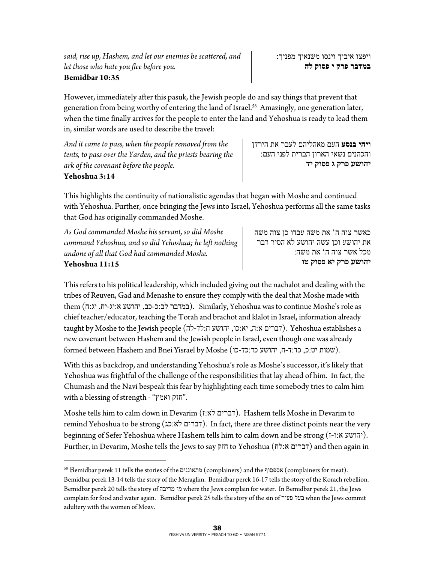*said, rise up, Hashem, and let our enemies be scattered, and let those who hate you flee before you.* **Bemidbar 10:35** 

ויפצו איביך וינסו משנאיך מפניך: **במדבר פרק י פסוק לה**

However, immediately after this pasuk, the Jewish people do and say things that prevent that generation from being worthy of entering the land of Israel.<sup>58</sup> Amazingly, one generation later, when the time finally arrives for the people to enter the land and Yehoshua is ready to lead them in, similar words are used to describe the travel:

*And it came to pass, when the people removed from the tents, to pass over the Yarden, and the priests bearing the ark of the covenant before the people.*  **Yehoshua 3:14** 

 $\overline{a}$ 

**ויהי בנסע** העם מאהליהם לעבר את הירדן והכהנים נשאי הארון הברית לפני העם: **יהושע פרק ג פסוק יד**

This highlights the continuity of nationalistic agendas that began with Moshe and continued with Yehoshua. Further, once bringing the Jews into Israel, Yehoshua performs all the same tasks that God has originally commanded Moshe.

*As God commanded Moshe his servant, so did Moshe command Yehoshua, and so did Yehoshua; he left nothing undone of all that God had commanded Moshe.* **Yehoshua 11:15**  כאשר צוה ה' את משה עבדו כן צוה משה את יהושע וכן עשה יהושע לא הסיר דבר מכל אשר צוה ה' את משה: **יהושע פרק יא פסוק טו**

This refers to his political leadership, which included giving out the nachalot and dealing with the tribes of Reuven, Gad and Menashe to ensure they comply with the deal that Moshe made with them (דבובר לב:כ-כב, יהושע א:יג-יח, יג:ה). Similarly, Yehoshua was to continue Moshe's role as chief teacher/educator, teaching the Torah and brachot and klalot in Israel, information already taught by Moshe to the Jewish people (הברים א:ה, יא:כו, יהושע ח:לד-לה). Yehoshua establishes a new covenant between Hashem and the Jewish people in Israel, even though one was already שמות יט:כ, כד:ד-ח, יהושע כד:כד-כו) formed between Hashem and Bnei Yisrael by Moshe

With this as backdrop, and understanding Yehoshua's role as Moshe's successor, it's likely that Yehoshua was frightful of the challenge of the responsibilities that lay ahead of him. In fact, the Chumash and the Navi bespeak this fear by highlighting each time somebody tries to calm him with a blessing of strength - "ואמץ חזק".

Moshe tells him to calm down in Devarim (ז:לא דברים(. Hashem tells Moshe in Devarim to remind Yehoshua to be strong (דברים לא:כג). In fact, there are three distinct points near the very beginning of Sefer Yehoshua where Hashem tells him to calm down and be strong (יהושע א:ו-ז). Further, in Devarim, Moshe tells the Jews to say חזק to Yehoshua (לח:א דברים (and then again in

<sup>58</sup> Bemidbar perek 11 tells the stories of the מתאוננים) complainers) and the אספסוף) complainers for meat). Bemidbar perek 13-14 tells the story of the Meraglim. Bemidbar perek 16-17 tells the story of the Korach rebellion. Bemidbar perek 20 tells the story of מריבה מי where the Jews complain for water. In Bemidbar perek 21, the Jews complain for food and water again. Bemidbar perek 25 tells the story of the sin of פעור בעל when the Jews commit adultery with the women of Moav.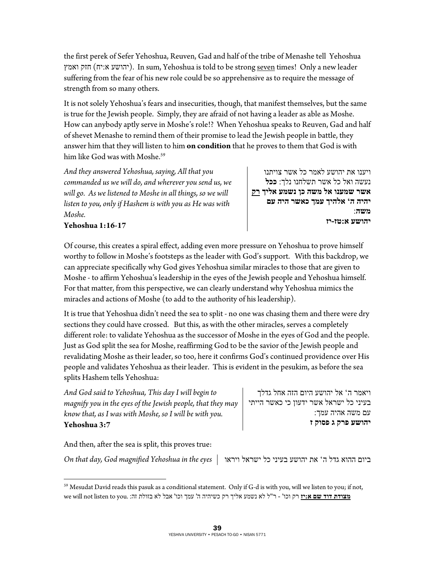the first perek of Sefer Yehoshua, Reuven, Gad and half of the tribe of Menashe tell Yehoshua ואמץ חזק) יח:א יהושע(. In sum, Yehoshua is told to be strong seven times! Only a new leader suffering from the fear of his new role could be so apprehensive as to require the message of strength from so many others.

It is not solely Yehoshua's fears and insecurities, though, that manifest themselves, but the same is true for the Jewish people. Simply, they are afraid of not having a leader as able as Moshe. How can anybody aptly serve in Moshe's role!? When Yehoshua speaks to Reuven, Gad and half of shevet Menashe to remind them of their promise to lead the Jewish people in battle, they answer him that they will listen to him **on condition** that he proves to them that God is with him like God was with Moshe.<sup>59</sup>

*And they answered Yehoshua, saying, All that you commanded us we will do, and wherever you send us, we will go. As we listened to Moshe in all things, so we will listen to you, only if Hashem is with you as He was with Moshe.* 

ויענו את יהושע לאמר כל אשר צויתנו נעשה ואל כל אשר תשלחנו נלך: **ככל אשר שמענו אל משה כן נשמע אליך רק יהיה ה' אלהיך עמך כאשר היה עם משה**: **יהושע א:טז -יז**

**Yehoshua 1:16-17** 

Of course, this creates a spiral effect, adding even more pressure on Yehoshua to prove himself worthy to follow in Moshe's footsteps as the leader with God's support. With this backdrop, we can appreciate specifically why God gives Yehoshua similar miracles to those that are given to Moshe - to affirm Yehoshua's leadership in the eyes of the Jewish people and Yehoshua himself. For that matter, from this perspective, we can clearly understand why Yehoshua mimics the miracles and actions of Moshe (to add to the authority of his leadership).

It is true that Yehoshua didn't need the sea to split - no one was chasing them and there were dry sections they could have crossed. But this, as with the other miracles, serves a completely different role: to validate Yehoshua as the successor of Moshe in the eyes of God and the people. Just as God split the sea for Moshe, reaffirming God to be the savior of the Jewish people and revalidating Moshe as their leader, so too, here it confirms God's continued providence over His people and validates Yehoshua as their leader. This is evident in the pesukim, as before the sea splits Hashem tells Yehoshua:

*And God said to Yehoshua, This day I will begin to magnify you in the eyes of the Jewish people, that they may know that, as I was with Moshe, so I will be with you.*  **Yehoshua 3:7** 

ויאמר ה' אל יהושע היום הזה אחל גדלך בעיני כל ישראל אשר ידעון כי כאשר הייתי עם משה אהיה עמך: **יהושע פרק ג פסוק ז**

And then, after the sea is split, this proves true:

ביום ההוא גדל ה' את יהושע בעיני כל ישראל ויראו *eyes the in Yehoshua magnified God ,day that On*

 $\overline{a}$ 

<sup>59</sup> Mesudat David reads this pasuk as a conditional statement. Only if G-d is with you, will we listen to you; if not, **מצודת דוד שם א:יז** רק וכו' - ר"ל לא נשמע אליך רק כשיהיה ה' עמך וכו' אבל לא בזולת זה: .you to listen not will we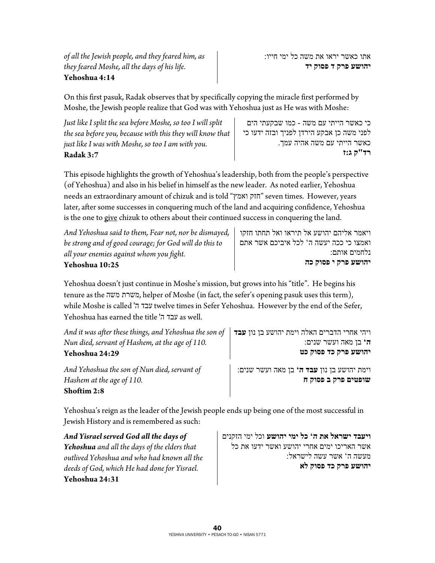*of all the Jewish people, and they feared him, as they feared Moshe, all the days of his life.*  **Yehoshua 4:14** 

On this first pasuk, Radak observes that by specifically copying the miracle first performed by Moshe, the Jewish people realize that God was with Yehoshua just as He was with Moshe:

| Just like I split the sea before Moshe, so too I will split | כי כאשר הייתי עם משה - כמו שבקעתי הים     |
|-------------------------------------------------------------|-------------------------------------------|
| the sea before you, because with this they will know that   | לפני משה כן אבקע הירדן לפניך ובזה ידעו כי |
| just like I was with Moshe, so too I am with you.           | כאשר הייתי עם משה אהיה עמך.               |
| Radak 3:7                                                   | רד"ק ג:ז                                  |

This episode highlights the growth of Yehoshua's leadership, both from the people's perspective (of Yehoshua) and also in his belief in himself as the new leader. As noted earlier, Yehoshua needs an extraordinary amount of chizuk and is told "ואמץ חזק "seven times. However, years later, after some successes in conquering much of the land and acquiring confidence, Yehoshua is the one to give chizuk to others about their continued success in conquering the land.

| Yehoshua 10:25                                                                                   | יהושע פרק י פסוק כה                     |
|--------------------------------------------------------------------------------------------------|-----------------------------------------|
| all your enemies against whom you fight.                                                         | נלחמים אותם:                            |
| be strong and of good courage; for God will do this to                                           | ואמצו כי ככה יעשה ה' לכל איביכם אשר אתם |
| And Yehoshua said to them, Fear not, nor be dismayed,   ויאמר אליהם יהושע אל תיראו ואל תחתו חזקו |                                         |

Yehoshua doesn't just continue in Moshe's mission, but grows into his "title". He begins his tenure as the משה משרת, helper of Moshe (in fact, the sefer's opening pasuk uses this term), while Moshe is called 'עבד ה' twelve times in Sefer Yehoshua. However by the end of the Sefer, Yehoshua has earned the title 'ה עבד as well.

| And it was after these things, and Yehoshua the son of | ויהי אחרי הדברים האלה וימת יהושע בן נון <b>עבד</b> |
|--------------------------------------------------------|----------------------------------------------------|
| Nun died, servant of Hashem, at the age of 110.        | ה' בן מאה ועשר שנים:                               |
| Yehoshua 24:29                                         | יהושע פרק כד פסוק כט                               |
| And Yehoshua the son of Nun died, servant of           | וימת יהושע בן נון <b>עבד ה'</b> בן מאה ועשר שנים:  |
| Hashem at the age of 110.                              | שופטים פרק ב פסוק ח                                |
| Shoftim 2:8                                            |                                                    |

Yehoshua's reign as the leader of the Jewish people ends up being one of the most successful in Jewish History and is remembered as such:

*And Yisrael served God all the days of Yehoshua and all the days of the elders that outlived Yehoshua and who had known all the deeds of God, which He had done for Yisrael.*  **Yehoshua 24:31** 

**ויעבד ישראל את ה' כל ימי יהושע** וכל ימי הזקנים אשר האריכו ימים אחרי יהושע ואשר ידעו את כל מעשה ה' אשר עשה לישראל: **יהושע פרק כד פסוק לא**